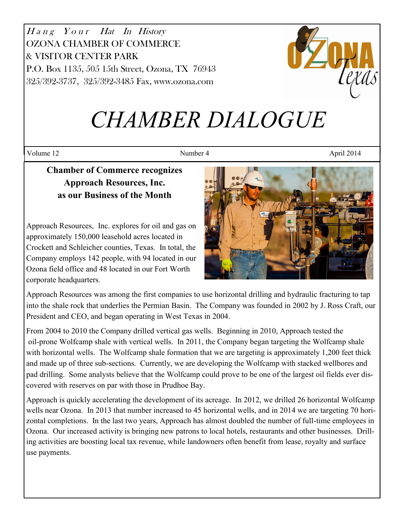Hang Your Hat In History OZONA CHAMBER OF COMMERCE & VISITOR CENTER PARK P.O. Box 1135, 505 15th Street, Ozona, TX 76943 325/392-3737, 325/392-3485 Fax, www.ozona.com



# *CHAMBER DIALOGUE*

Volume 12 April 2014

# **Chamber of Commerce recognizes Approach Resources, Inc. as our Business of the Month**

Approach Resources, Inc. explores for oil and gas on approximately 150,000 leasehold acres located in Crockett and Schleicher counties, Texas. In total, the Company employs 142 people, with 94 located in our Ozona field office and 48 located in our Fort Worth corporate headquarters.



Approach Resources was among the first companies to use horizontal drilling and hydraulic fracturing to tap into the shale rock that underlies the Permian Basin. The Company was founded in 2002 by J. Ross Craft, our President and CEO, and began operating in West Texas in 2004.

From 2004 to 2010 the Company drilled vertical gas wells. Beginning in 2010, Approach tested the oil-prone Wolfcamp shale with vertical wells. In 2011, the Company began targeting the Wolfcamp shale with horizontal wells. The Wolfcamp shale formation that we are targeting is approximately 1,200 feet thick and made up of three sub-sections. Currently, we are developing the Wolfcamp with stacked wellbores and pad drilling. Some analysts believe that the Wolfcamp could prove to be one of the largest oil fields ever discovered with reserves on par with those in Prudhoe Bay.

Approach is quickly accelerating the development of its acreage. In 2012, we drilled 26 horizontal Wolfcamp wells near Ozona. In 2013 that number increased to 45 horizontal wells, and in 2014 we are targeting 70 horizontal completions. In the last two years, Approach has almost doubled the number of full-time employees in Ozona. Our increased activity is bringing new patrons to local hotels, restaurants and other businesses. Drilling activities are boosting local tax revenue, while landowners often benefit from lease, royalty and surface use payments.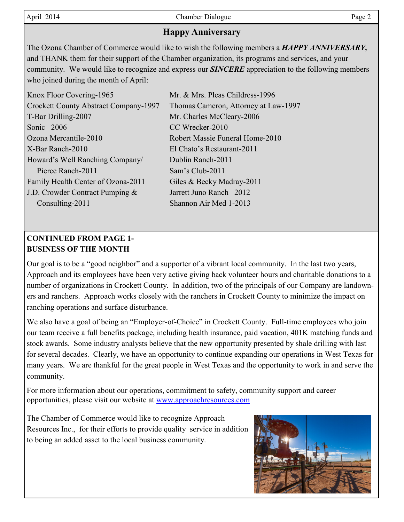## **Happy Anniversary**

The Ozona Chamber of Commerce would like to wish the following members a *HAPPY ANNIVERSARY,* and THANK them for their support of the Chamber organization, its programs and services, and your community. We would like to recognize and express our *SINCERE* appreciation to the following members who joined during the month of April:

| Knox Floor Covering-1965                     | Mr. & Mrs. Pleas Childress-1996      |
|----------------------------------------------|--------------------------------------|
| <b>Crockett County Abstract Company-1997</b> | Thomas Cameron, Attorney at Law-1997 |
| T-Bar Drilling-2007                          | Mr. Charles McCleary-2006            |
| Sonic $-2006$                                | CC Wrecker-2010                      |
| Ozona Mercantile-2010                        | Robert Massie Funeral Home-2010      |
| X-Bar Ranch-2010                             | El Chato's Restaurant-2011           |
| Howard's Well Ranching Company/              | Dublin Ranch-2011                    |
| Pierce Ranch-2011                            | Sam's Club-2011                      |
| Family Health Center of Ozona-2011           | Giles & Becky Madray-2011            |
| J.D. Crowder Contract Pumping $&$            | Jarrett Juno Ranch-2012              |
| Consulting-2011                              | Shannon Air Med 1-2013               |

## **CONTINUED FROM PAGE 1- BUSINESS OF THE MONTH**

Our goal is to be a "good neighbor" and a supporter of a vibrant local community. In the last two years, Approach and its employees have been very active giving back volunteer hours and charitable donations to a number of organizations in Crockett County. In addition, two of the principals of our Company are landowners and ranchers. Approach works closely with the ranchers in Crockett County to minimize the impact on ranching operations and surface disturbance.

We also have a goal of being an "Employer-of-Choice" in Crockett County. Full-time employees who join our team receive a full benefits package, including health insurance, paid vacation, 401K matching funds and stock awards. Some industry analysts believe that the new opportunity presented by shale drilling with last for several decades. Clearly, we have an opportunity to continue expanding our operations in West Texas for many years. We are thankful for the great people in West Texas and the opportunity to work in and serve the community.

For more information about our operations, commitment to safety, community support and career opportunities, please visit our website at [www.approachresources.com](http://www.approachresources.com)

The Chamber of Commerce would like to recognize Approach Resources Inc., for their efforts to provide quality service in addition to being an added asset to the local business community.

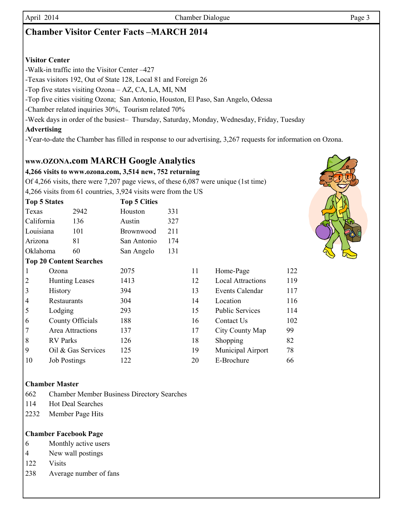# **Chamber Visitor Center Facts –MARCH 2014**

### **Visitor Center**

-Walk-in traffic into the Visitor Center –427

-Texas visitors 192, Out of State 128, Local 81 and Foreign 26

-Top five states visiting Ozona – AZ, CA, LA, MI, NM

-Top five cities visiting Ozona; San Antonio, Houston, El Paso, San Angelo, Odessa

-Chamber related inquiries 30%, Tourism related 70%

-Week days in order of the busiest– Thursday, Saturday, Monday, Wednesday, Friday, Tuesday

#### **Advertising**

-Year-to-date the Chamber has filled in response to our advertising, 3,267 requests for information on Ozona.

## **www.OZONA.com MARCH Google Analytics**

#### **4,266 visits to www.ozona.com, 3,514 new, 752 returning**

Of 4,266 visits, there were 7,207 page views, of these 6,087 were unique (1st time) 4,266 visits from 61 countries, 3,924 visits were from the US

| <b>Top 5 States</b> |                       | <b>Top 5 Cities</b>            |                  |     |    |                          |     |
|---------------------|-----------------------|--------------------------------|------------------|-----|----|--------------------------|-----|
| Texas               |                       | 2942                           | Houston          | 331 |    |                          |     |
| California          |                       | 136                            | Austin           | 327 |    |                          |     |
| Louisiana           |                       | 101                            | <b>Brownwood</b> | 211 |    |                          |     |
| Arizona             |                       | 81                             | San Antonio      | 174 |    |                          |     |
| Oklahoma            |                       | 60                             | San Angelo       | 131 |    |                          |     |
|                     |                       | <b>Top 20 Content Searches</b> |                  |     |    |                          |     |
| $\vert$ 1           | Ozona                 |                                | 2075             |     | 11 | Home-Page                | 122 |
| $ 2\rangle$         | <b>Hunting Leases</b> |                                | 1413             |     | 12 | <b>Local Attractions</b> | 119 |
| $\vert 3 \vert$     | <b>History</b>        |                                | 394              |     | 13 | <b>Events Calendar</b>   | 117 |
| $\vert 4$           | Restaurants           |                                | 304              |     | 14 | Location                 | 116 |
| 5                   | Lodging               |                                | 293              |     | 15 | <b>Public Services</b>   | 114 |
| 6                   | County Officials      |                                | 188              |     | 16 | Contact Us               | 102 |
| $\overline{7}$      | Area Attractions      |                                | 137              |     | 17 | City County Map          | 99  |
| 8                   | <b>RV</b> Parks       |                                | 126              |     | 18 | Shopping                 | 82  |
| 9                   | Oil & Gas Services    |                                | 125              |     | 19 | Municipal Airport        | 78  |
| 10                  | <b>Job Postings</b>   |                                | 122              |     | 20 | E-Brochure               | 66  |

# 11 Home-Page 122 12 Local Attractions 119 13 Events Calendar 117 15 Public Services 114 16 Contact Us 102 17 City County Map 99 18 Shopping 82 19 Municipal Airport 78

#### **Chamber Master**

- 662 Chamber Member Business Directory Searches
- 114 Hot Deal Searches
- 2232 Member Page Hits

#### **Chamber Facebook Page**

- 6 Monthly active users
- 4 New wall postings
- 122 Visits
- 238 Average number of fans